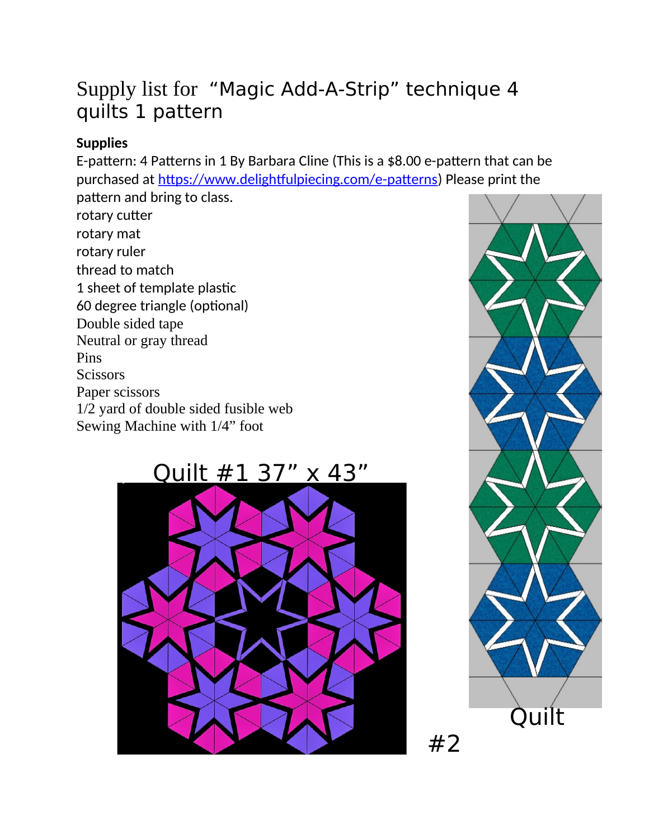## Supply list for "Magic Add-A-Strip" technique 4 quilts 1 pattern

### **Supplies**

E-pattern: 4 Patterns in 1 By Barbara Cline (This is a \$8.00 e-pattern that can be purchased at https://www.delightfulpiecing.com/e-patterns) Please print the pattern and bring to class.

rotary cutter rotary mat rotary ruler thread to match 1 sheet of template plastic 60 degree triangle (optional) Double sided tape Neutral or gray thread **Pins Scissors** Paper scissors 1/2 yard of double sided fusible web Sewing Machine with 1/4" foot

Quilt #1 37" x 43"





 $#2$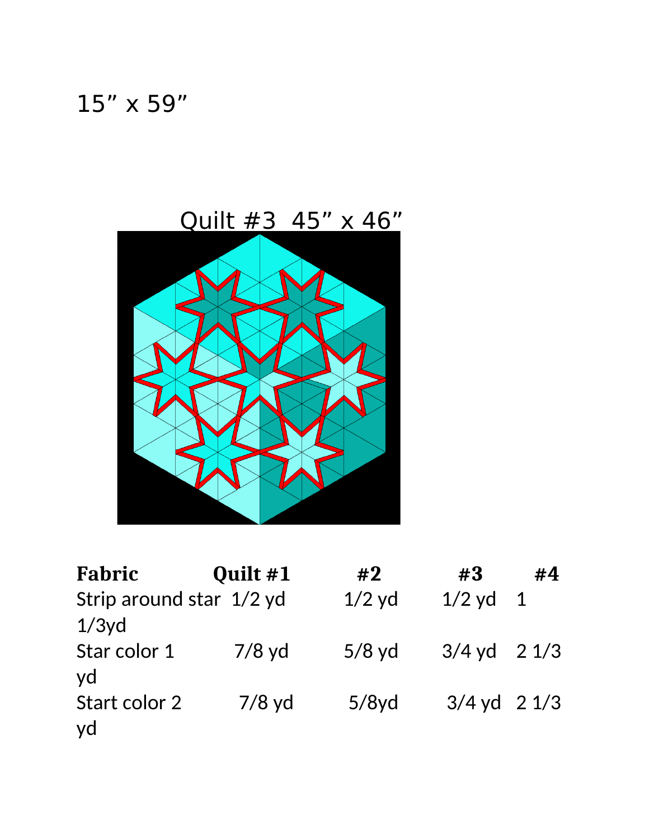# 15" x 59"

Quilt #3 45" x 46"



| Fabric                               | Quilt #1 | #2       | #3                      | #4 |
|--------------------------------------|----------|----------|-------------------------|----|
| Strip around star 1/2 yd<br>$1/3y$ d |          | $1/2$ yd | $1/2$ yd $1$            |    |
| Star color 1<br>vd                   | $7/8$ yd | $5/8$ yd | $3/4$ yd $2\frac{1}{3}$ |    |
| Start color 2<br>yd                  | $7/8$ yd | 5/8yd    | $3/4$ yd $2\ 1/3$       |    |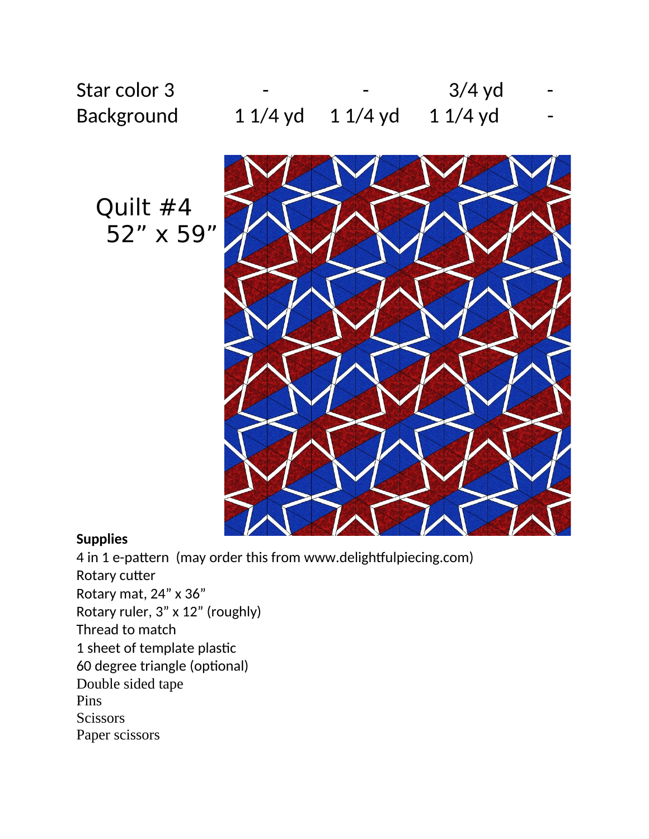

Quilt #4 52" x 59"

Star color 3

Background



#### **Supplies**

4 in 1 e-pattern (may order this from www.delightfulpiecing.com) Rotary cutter Rotary mat, 24" x 36" Rotary ruler, 3" x 12" (roughly) Thread to match 1 sheet of template plastic 60 degree triangle (optional) Double sided tape Pins **Scissors** Paper scissors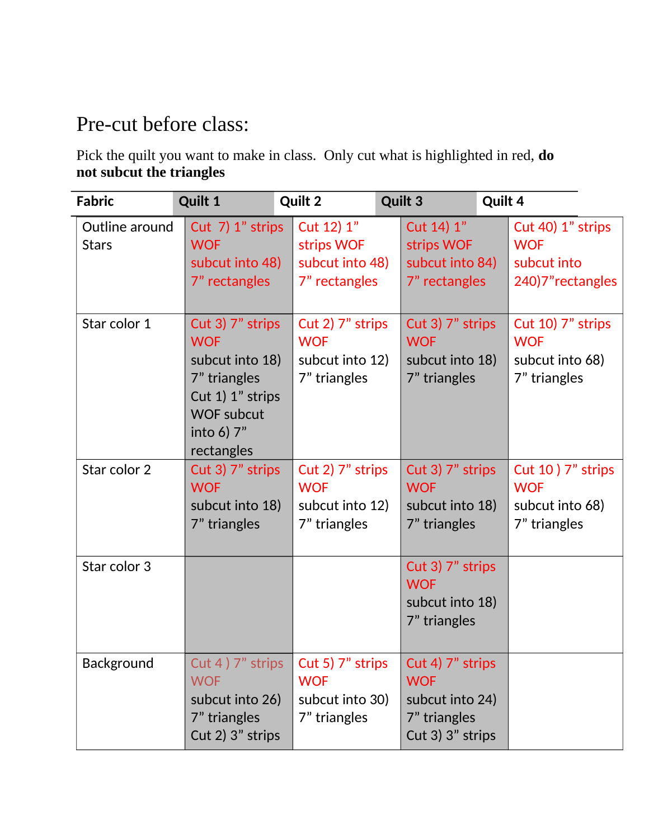## Pre-cut before class:

Pick the quilt you want to make in class. Only cut what is highlighted in red, do not subcut the triangles

| <b>Fabric</b>                  | <b>Quilt 1</b>                                                                                                                         | <b>Quilt 2</b>                                                    | <b>Quilt 3</b>                                                                            | Quilt 4                                                             |
|--------------------------------|----------------------------------------------------------------------------------------------------------------------------------------|-------------------------------------------------------------------|-------------------------------------------------------------------------------------------|---------------------------------------------------------------------|
| Outline around<br><b>Stars</b> | Cut 7) 1" strips<br><b>WOF</b><br>subcut into 48)<br>7" rectangles                                                                     | Cut 12) 1"<br>strips WOF<br>subcut into 48)<br>7" rectangles      | Cut 14) 1"<br>strips WOF<br>subcut into 84)<br>7" rectangles                              | Cut 40) 1" strips<br><b>WOF</b><br>subcut into<br>240)7" rectangles |
| Star color 1                   | Cut 3) 7" strips<br><b>WOF</b><br>subcut into 18)<br>7" triangles<br>Cut 1) 1" strips<br><b>WOF subcut</b><br>into 6) 7"<br>rectangles | Cut 2) 7" strips<br><b>WOF</b><br>subcut into 12)<br>7" triangles | Cut 3) 7" strips<br><b>WOF</b><br>subcut into 18)<br>7" triangles                         | Cut 10) 7" strips<br><b>WOF</b><br>subcut into 68)<br>7" triangles  |
| Star color 2                   | Cut 3) 7" strips<br><b>WOF</b><br>subcut into 18)<br>7" triangles                                                                      | Cut 2) 7" strips<br><b>WOF</b><br>subcut into 12)<br>7" triangles | Cut 3) 7" strips<br><b>WOF</b><br>subcut into 18)<br>7" triangles                         | Cut 10 $7"$ strips<br><b>WOF</b><br>subcut into 68)<br>7" triangles |
| Star color 3                   |                                                                                                                                        |                                                                   | Cut 3) 7" strips<br><b>WOF</b><br>subcut into 18)<br>7" triangles                         |                                                                     |
| Background                     | Cut 4 ) 7" strips<br><b>WOF</b><br>subcut into 26)<br>7" triangles<br>Cut $2)$ 3" strips                                               | Cut 5) 7" strips<br><b>WOF</b><br>subcut into 30)<br>7" triangles | Cut 4) 7" strips<br><b>WOF</b><br>subcut into 24)<br>7" triangles<br>Cut $3)$ $3"$ strips |                                                                     |